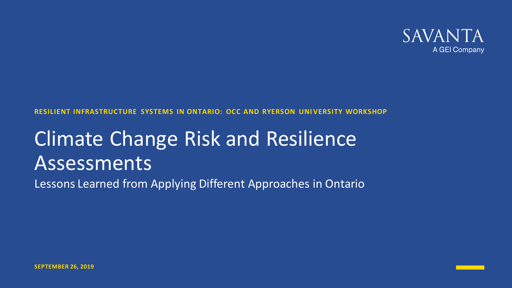

### **RESILIENT INFRASTRUCTURE SYSTEMS IN ONTARIO: OCC AND RYERSON UNIVERSITY**

# Climate Change Risk and Resilience Assessments

Lessons Learned from Applying Different Approaches in Ontario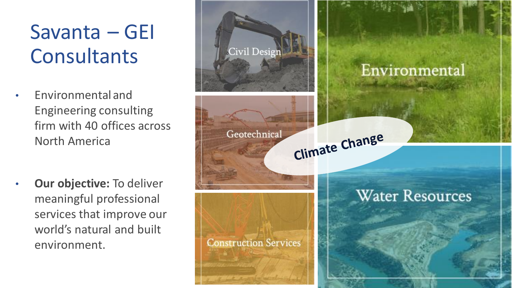### Savanta – GEI **Consultants**

- Environmental and Engineering consulting firm with 40 offices across North America
- **Our objective:** To deliver meaningful professional services that improve our world's natural and built environment.

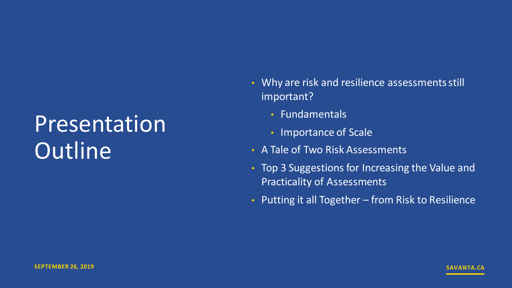# Presentation **Outline**

- Why are risk and resilience assessments still important?
	- Fundamentals
	- Importance of Scale
- A Tale of Two Risk Assessments
- Top 3 Suggestions for Increasing the Value and Practicality of Assessments
- Putting it all Together from Risk to Resilience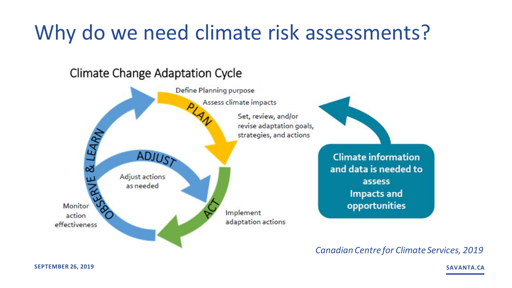### Why do we need climate risk assessments?

### **Climate Change Adaptation Cycle**



*Canadian Centre for Climate Services, 2019*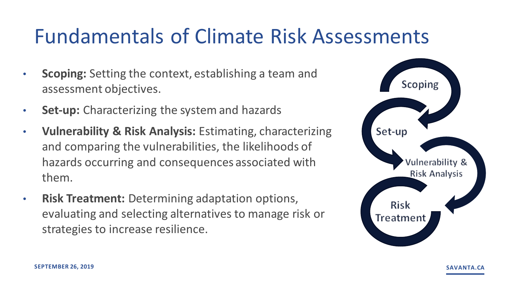### Fundamentals of Climate Risk Assessments

- **Scoping:** Setting the context, establishing a team and assessment objectives.
- **Set-up:** Characterizing the system and hazards
- **Vulnerability & Risk Analysis:** Estimating, characterizing and comparing the vulnerabilities, the likelihoods of hazards occurring and consequences associated with them.
- **Risk Treatment:** Determining adaptation options, evaluating and selecting alternatives to manage risk or strategies to increase resilience.

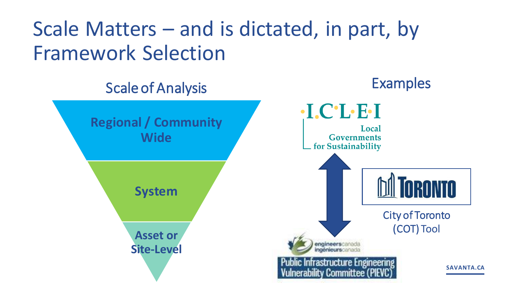Scale Matters – and is dictated, in part, by Framework Selection

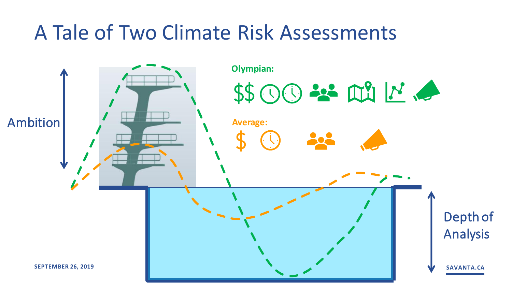### A Tale of Two Climate Risk Assessments

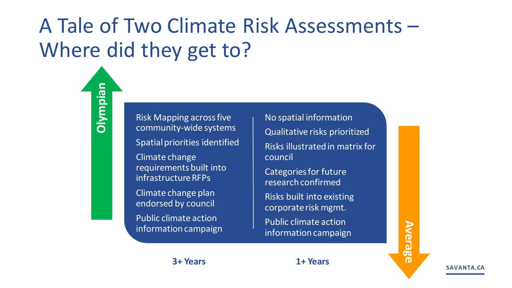## A Tale of Two Climate Risk Assessments – Where did they get to?

Risk Mapping across five community-wide systems

**Olympian**

Spatial priorities identified

Climate change requirements built into infrastructure RFPs

Climate change plan endorsed by council

Public climate action information campaign

No spatial information Qualitative risks prioritized Risks illustrated in matrix for council

Categories for future research confirmed

Risks built into existing corporate risk mgmt.

Public climate action information campaign

**3+ Years 1+ Years**

**SAVANTA.CA**

**Average**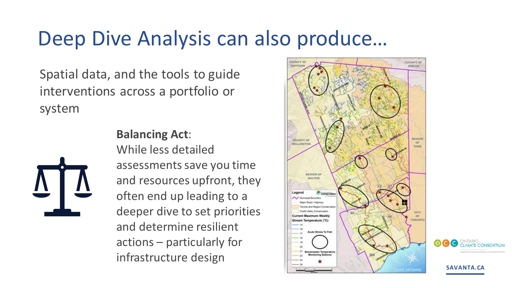### Deep Dive Analysis can also produce…

Spatial data, and the tools to guide interventions across a portfolio or system

**Balancing Act**:

While less detailed assessments save you time and resources upfront, they often end up leading to a deeper dive to set priorities and determine resilient actions – particularly for infrastructure design

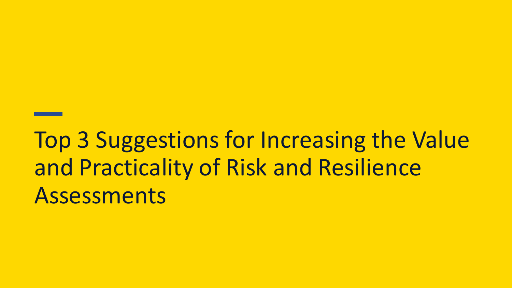Top 3 Suggestions for Increasing the Value and Practicality of Risk and Resilience Assessments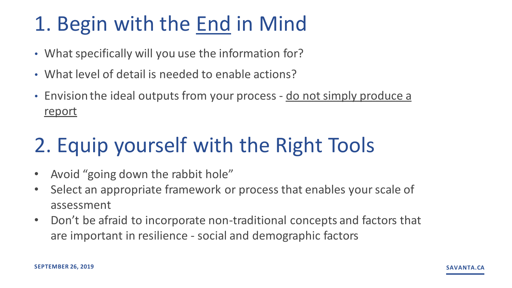### 1. Begin with the End in Mind

- What specifically will you use the information for?
- What level of detail is needed to enable actions?
- Envision the ideal outputs from your process do not simply produce a report

## 2. Equip yourself with the Right Tools

- Avoid "going down the rabbit hole"
- Select an appropriate framework or process that enables your scale of assessment
- Don't be afraid to incorporate non-traditional concepts and factors that are important in resilience - social and demographic factors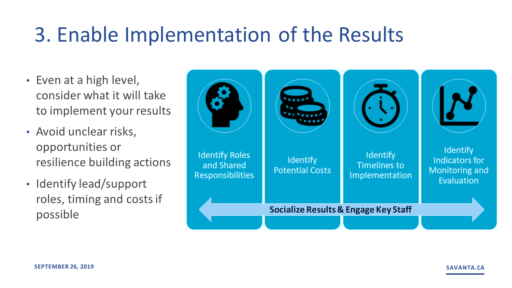### 3. Enable Implementation of the Results

- Even at a high level, consider what it will take to implement your results
- Avoid unclear risks, opportunities or resilience building actions
- Identify lead/support roles, timing and costs if

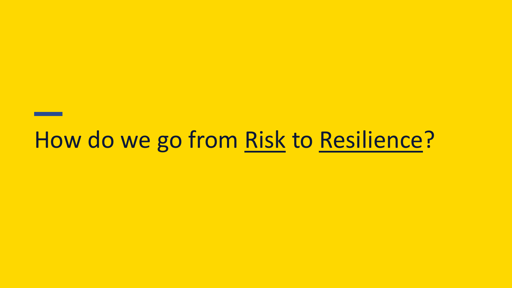# How do we go from Risk to Resilience?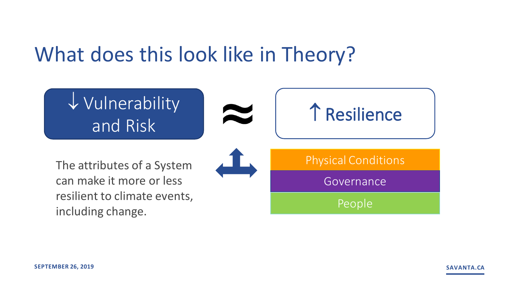### What does this look like in Theory?

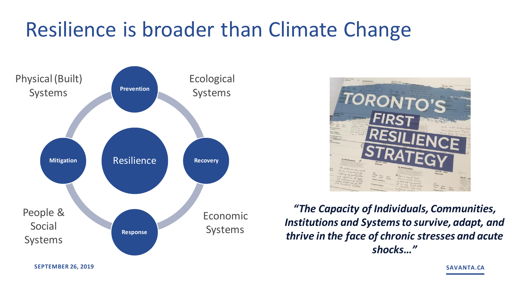### Resilience is broader than Climate Change





*"The Capacity of Individuals, Communities, Institutions and Systems to survive, adapt, and thrive in the face of chronic stresses and acute shocks…"*

**SEPTEMBER 26, 2019**

**SAVANTA.CA**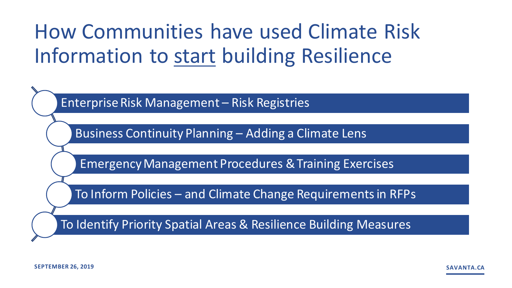## How Communities have used Climate Risk Information to start building Resilience

Enterprise Risk Management – Risk Registries

Business Continuity Planning – Adding a Climate Lens

Emergency Management Procedures & Training Exercises

To Inform Policies – and Climate Change Requirements in RFPs

To Identify Priority Spatial Areas & Resilience Building Measures